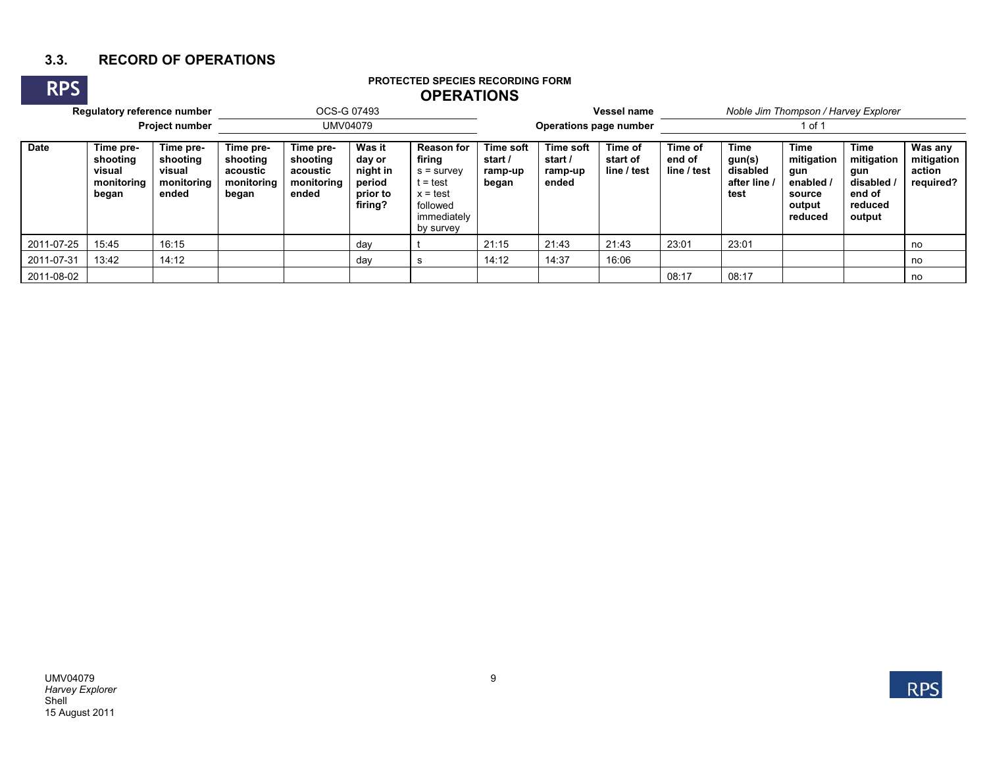## **3.3. RECORD OF OPERATIONS**

## **PROTECTED SPECIES RECORDING FORM OPERATIONS**

| <b>RPS</b>                  | <b>PROTECTED SPECIES RECORDING FORM</b><br><b>OPERATIONS</b> |                                                        |                                                          |                                                          |                                                               |                                                                                                               |                                                 |                                          |                                    |                                  |                                                         |                                                                            |                                                                               |                                              |  |
|-----------------------------|--------------------------------------------------------------|--------------------------------------------------------|----------------------------------------------------------|----------------------------------------------------------|---------------------------------------------------------------|---------------------------------------------------------------------------------------------------------------|-------------------------------------------------|------------------------------------------|------------------------------------|----------------------------------|---------------------------------------------------------|----------------------------------------------------------------------------|-------------------------------------------------------------------------------|----------------------------------------------|--|
| Regulatory reference number |                                                              |                                                        |                                                          | OCS-G 07493                                              |                                                               |                                                                                                               | <b>Vessel name</b>                              | Noble Jim Thompson / Harvey Explorer     |                                    |                                  |                                                         |                                                                            |                                                                               |                                              |  |
| <b>Project number</b>       |                                                              |                                                        |                                                          | UMV04079                                                 |                                                               |                                                                                                               | Operations page number                          |                                          |                                    | 1 of 1                           |                                                         |                                                                            |                                                                               |                                              |  |
| <b>Date</b>                 | Time pre-<br>shooting<br>visual<br>monitoring<br>began       | Time pre-<br>shooting<br>visual<br>monitoring<br>ended | Time pre-<br>shooting<br>acoustic<br>monitoring<br>began | Time pre-<br>shooting<br>acoustic<br>monitoring<br>ended | Was it<br>day or<br>night in<br>period<br>prior to<br>firing? | <b>Reason for</b><br>firing<br>$s =$ survey<br>t = test<br>$x = test$<br>followed<br>immediately<br>by survey | <b>Time soft</b><br>start /<br>ramp-up<br>began | Time soft<br>start /<br>ramp-up<br>ended | Time of<br>start of<br>line / test | Time of<br>end of<br>line / test | <b>Time</b><br>gun(s)<br>disabled<br>after line<br>test | <b>Time</b><br>mitigation<br>gun<br>enabled<br>source<br>output<br>reduced | <b>Time</b><br>mitigation<br>gun<br>disabled /<br>end of<br>reduced<br>output | Was any<br>mitigation<br>action<br>required? |  |
| 2011-07-25                  | 15:45                                                        | 16:15                                                  |                                                          |                                                          | day                                                           |                                                                                                               | 21:15                                           | 21:43                                    | 21:43                              | 23:01                            | 23:01                                                   |                                                                            |                                                                               | no                                           |  |
| 2011-07-31                  | 13:42                                                        | 14:12                                                  |                                                          |                                                          | day                                                           | s                                                                                                             | 14:12                                           | 14:37                                    | 16:06                              |                                  |                                                         |                                                                            |                                                                               | no                                           |  |
| 2011-08-02                  |                                                              |                                                        |                                                          |                                                          |                                                               |                                                                                                               |                                                 |                                          |                                    | 08:17                            | 08:17                                                   |                                                                            |                                                                               | no                                           |  |